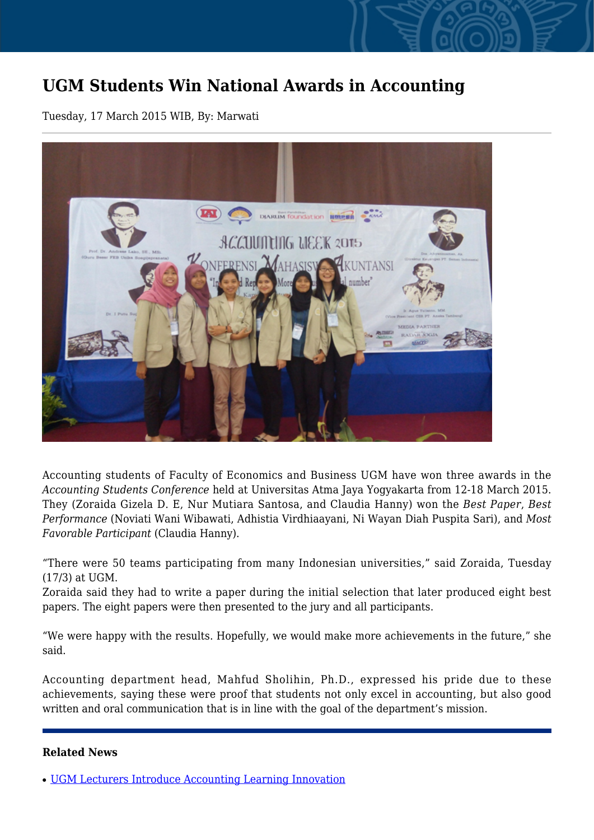## **UGM Students Win National Awards in Accounting**

Tuesday, 17 March 2015 WIB, By: Marwati



Accounting students of Faculty of Economics and Business UGM have won three awards in the *Accounting Students Conference* held at Universitas Atma Jaya Yogyakarta from 12-18 March 2015. They (Zoraida Gizela D. E, Nur Mutiara Santosa, and Claudia Hanny) won the *Best Paper*, *Best Performance* (Noviati Wani Wibawati, Adhistia Virdhiaayani, Ni Wayan Diah Puspita Sari), and *Most Favorable Participant* (Claudia Hanny).

"There were 50 teams participating from many Indonesian universities," said Zoraida, Tuesday (17/3) at UGM.

Zoraida said they had to write a paper during the initial selection that later produced eight best papers. The eight papers were then presented to the jury and all participants.

"We were happy with the results. Hopefully, we would make more achievements in the future," she said.

Accounting department head, Mahfud Sholihin, Ph.D., expressed his pride due to these achievements, saying these were proof that students not only excel in accounting, but also good written and oral communication that is in line with the goal of the department's mission.

## **Related News**

• [UGM Lecturers Introduce Accounting Learning Innovation](http://ugm.ac.id/www.ugm.ac.id//en/news/10785-ugm-students-win-award-in-national-audit-conference)